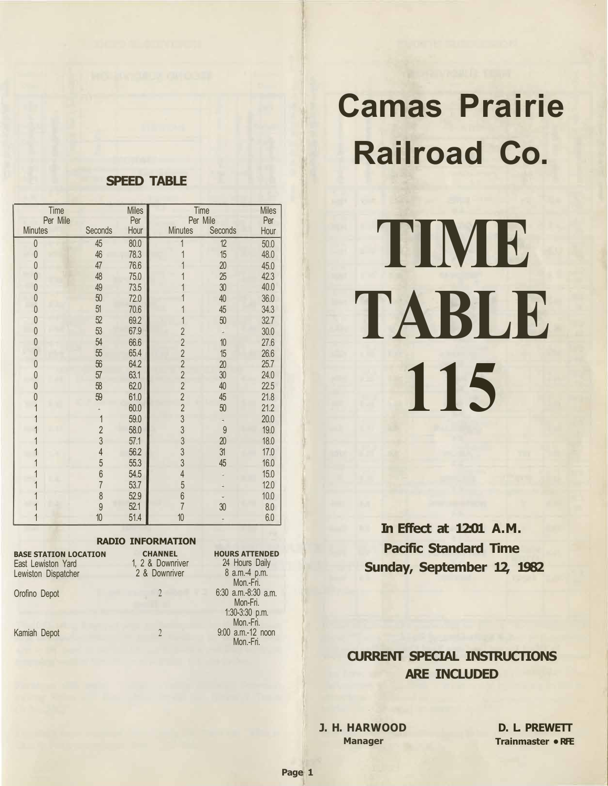# **Camas Prairie Railroad Co.**

# **TIME TABLE 115**

**In Effect at 12:01 A.M. Pacific Standard Time Sunday, September 12, 1982** 

# **CURRENT SPECIAL INSTRUCTIONS ARE INCLUDED**

**J. H. HARWOOD Manager** 

**D. L. PREWETT Trainmaster • RFE** 

# **SPEED TABLE**

| Time<br>Per Mile |                | <b>Miles</b><br>Per |                | Time<br>Per Mile | <b>Miles</b><br>Per |
|------------------|----------------|---------------------|----------------|------------------|---------------------|
| <b>Minutes</b>   | Seconds        | Hour                | <b>Minutes</b> | Seconds          | Hour                |
| $\theta$         | 45             | 80.0                |                | 12               | 50.0                |
| $\theta$         | 46             | 78.3                |                | 15               | 48.0                |
| 0                | 47             | 76.6                |                | 20               | 45.0                |
| 0                | 48             | 75.0                |                | 25               | 42.3                |
| $\theta$         | 49             | 73.5                |                | 30               | 40.0                |
| 0                | 50             | 72.0                |                | 40               | 36.0                |
| $\theta$         | 51             | 70.6                |                | 45               | 34.3                |
| $\mathbf 0$      | 52             | 69.2                |                | 50               | 32.7                |
| $\theta$         | 53             | 67.9                | $\overline{2}$ |                  | 30.0                |
| $\theta$         | 54             | 66.6                | $\overline{2}$ | 10               | 27.6                |
| $\theta$         | 55             | 65.4                | $\overline{2}$ | 15               | 26.6                |
| $\theta$         | 56             | 64.2                | $\overline{2}$ | 20               | 25.7                |
| $\theta$         | 57             | 63.1                | $\overline{2}$ | 30               | 24.0                |
| 0                | 58             | 62.0                | $\overline{2}$ | 40               | 22.5                |
| 0                | 59             | 61.0                | $\overline{2}$ | 45               | 21.8                |
|                  |                | 60.0                | $\overline{2}$ | 50               | 21.2                |
|                  | 1              | 59.0                | 3              |                  | 20.0                |
|                  | $\overline{2}$ | 58.0                | $\frac{3}{3}$  | 9                | 19.0                |
|                  | 3              | 57.1                |                | 20               | 18.0                |
|                  | $\overline{4}$ | 56.2                | 3              | 31               | 17.0                |
|                  | 5              | 55.3                | 3              | 45               | 16.0                |
|                  | $6\phantom{a}$ | 54.5                | $\overline{4}$ |                  | 15.0                |
|                  | $\overline{7}$ | 53.7                | 5              |                  | 12.0                |
|                  | $\delta$       | 52.9                | 6              |                  | 10.0                |
|                  | $\overline{9}$ | 52.1                | $\overline{7}$ | 30               | 8.0                 |
|                  | 10             | 51.4                | 10             |                  | 6.0                 |

#### **RADIO INFORMATION**

| <b>BASE STATION LOCATION</b><br>East Lewiston Yard<br>Lewiston Dispatcher | <b>CHANNEL</b><br>1, 2 & Downriver<br>2 & Downriver |  |  |  |  |
|---------------------------------------------------------------------------|-----------------------------------------------------|--|--|--|--|
| Orofino Depot                                                             |                                                     |  |  |  |  |
| Kamiah Depot                                                              |                                                     |  |  |  |  |

**HOURS ATTENDED**  24 Hours Daily 8 a.m.-4 p.m. Mon.-Fri. 6:30 a.m.-8:30 a.m. Mon-Fri. 1 :30-3:30 p.m. Mon.-Fri. 9:00 a.m.-12 noon Mon-Fri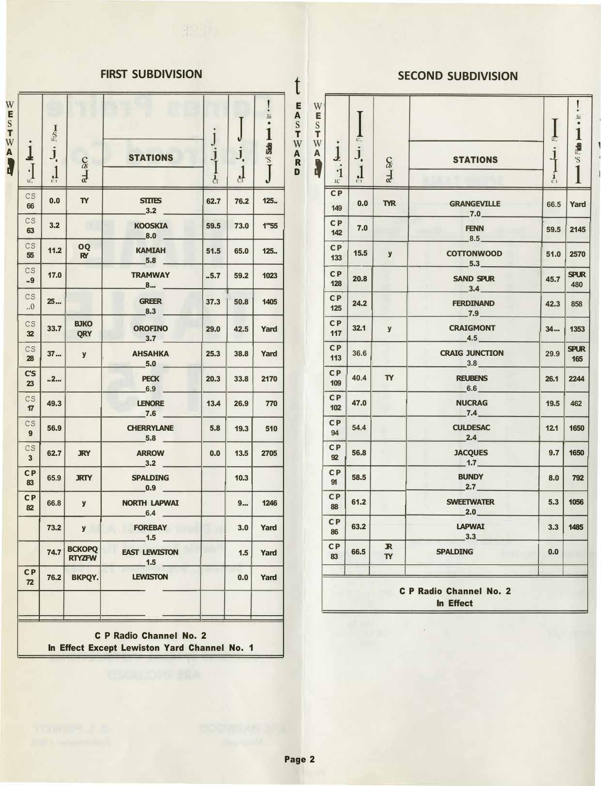# **FIRST SUBDIVISION**

t E **A**  s  $\overline{W}$ 

| $\bullet$              | $\mathop{\mathrm{S}}\limits_{u:}$ |                              |                                    |               |                      | I<br>$\rm{Jii}$<br>$\bullet$<br>1 |
|------------------------|-----------------------------------|------------------------------|------------------------------------|---------------|----------------------|-----------------------------------|
| $\mathbf 1$<br>$\cdot$ | j.                                | ce J                         | <b>STATIONS</b>                    | $\frac{j}{j}$ | j.                   | <b>Side</b><br>'S<br>J            |
| u:,                    | $\frac{1}{c}$                     |                              |                                    | $\mathbf{d}$  | $\frac{1}{\epsilon}$ |                                   |
| CS<br>66               | 0.0                               | $\mathbf{r}$                 | <b>STITES</b><br>$-3.2$            | 62.7          | 76.2                 | 125.                              |
| CS<br>63               | 3.2                               |                              | <b>KOOSKIA</b><br>$-8.0$ $-$       | 59.5          | 73.0                 | 1"55                              |
| CS<br>55               | 11.2                              | OQ<br>RY                     | <b>KAMIAH</b><br>$-5.8$ $-$        | 51.5          | 65.0                 | 125.                              |
| CS<br>.9               | 17.0                              |                              | <b>TRAMWAY</b><br>__8… _           | .5.7          | 59.2                 | 1023                              |
| CS<br>0                | 25                                |                              | <b>GREER</b><br>$-8.3$ $-$         | 37.3          | 50.8                 | 1405                              |
| CS<br>32               | 33.7                              | <b>BJKO</b><br><b>QRY</b>    | <b>OROFINO</b><br>$-3.7$ $-$       | 29.0          | 42.5                 | Yard                              |
| CS<br>28               | 37                                | y                            | <b>AHSAHKA</b><br>$-5.0$           | 25.3          | 38.8                 | Yard                              |
| C'S<br>23              | 2                                 |                              | <b>PECK</b><br>$-6.9$              | 20.3          | 33.8                 | 2170                              |
| CS<br>17               | 49.3                              |                              | <b>LENORE</b><br>$-7.6$            | 13.4          | 26.9                 | 770                               |
| CS<br>9                | 56.9                              |                              | <b>CHERRYLANE</b><br>$-5.8$ $-$    | 5.8           | 19.3                 | 510                               |
| CS<br>$\mathbf{3}$     | 62.7                              | <b>JRY</b>                   | <b>ARROW</b><br>3.2                | 0.0           | 13.5                 | 2705                              |
| CP<br>83               | 65.9                              | <b>JRTY</b>                  | <b>SPALDING</b><br>$\_0.9$ $\_$    |               | 10.3                 |                                   |
| <b>CP</b><br>82        | 66.8                              | y                            | NORTH LAPWAI<br>$-6.4$ $-$         |               | 9                    | 1246                              |
|                        | $73.2$                            | $\mathbf{y}$                 | <b>FOREBAY</b><br>$-1.5$           |               | 3.0                  | Yard                              |
|                        |                                   | 74.7 BCKOPQ<br><b>RTYZFW</b> | <b>EAST LEWISTON</b><br>$-1.5$ $-$ |               | 1.5                  | Yard                              |
| C P<br>72              | 76.2                              | <b>BKPQY.</b>                | <b>LEWISTON</b>                    |               | 0.0                  | Yard                              |
|                        |                                   |                              |                                    |               |                      |                                   |

C **P Radio** Channel No. 2 In Effect Except Lewiston Yard Channel No. 1

# **SECOND SUBDIVISION**

|                                                    | $\operatorname*{S}_{u:}$ |                                |                                      |                | ิป                   | $\rm{Jii}$<br>1        | Е<br>A<br>${\bf S}$<br>T          | W<br>E<br>${\bf S}$<br>$\mathsf T$  |                                            | $\frac{1}{c}$   |                           |                                 | $\frac{1}{u!}$  | $\rm Jii$<br>$\bullet$<br>1 |
|----------------------------------------------------|--------------------------|--------------------------------|--------------------------------------|----------------|----------------------|------------------------|-----------------------------------|-------------------------------------|--------------------------------------------|-----------------|---------------------------|---------------------------------|-----------------|-----------------------------|
| ļ                                                  | j <sub>,</sub>           | $rac{C}{d}$                    | <b>STATIONS</b>                      | $\frac{1}{1}$  | $J_{\cdot}$          | <b>Side</b><br>'S<br>T | W<br>A<br>$\overline{\mathbf{R}}$ | W<br>$\boldsymbol{\mathsf{A}}$<br>1 | $\bf \bf 1$                                | j,              | $\mathcal{E}$             | <b>STATIONS</b>                 | $\downarrow$    | <b>Maris</b>                |
| $\cdot$ $\prod_{u:}$                               | $\frac{1}{c}$            |                                |                                      | $\overline{d}$ | $\frac{1}{\epsilon}$ |                        | D                                 |                                     | $\cdot$ 1<br>$\mathcal{U}^{\cdot}_{\cdot}$ | $\frac{1}{c_1}$ | $\frac{1}{2}$             |                                 | $\frac{1}{c_1}$ |                             |
| $\overline{\mathsf{S}}$<br>66                      | 0.0                      | $\mathbf{r}$                   | <b>STITES</b><br>$-3.2$              | 62.7           | 76.2                 | 125.                   |                                   |                                     | CP<br>149                                  | 0.0             | <b>TYR</b>                | <b>GRANGEVILLE</b><br>$-7.0$    | 66.5            | Yard                        |
| CS<br>63                                           | 3.2                      |                                | <b>KOOSKIA</b><br>$\blacksquare$ 8.0 | 59.5           | 73.0                 | 1"55                   |                                   |                                     | <b>CP</b><br>142                           | 7.0             |                           | <b>FENN</b><br>$-8.5$           | 59.5            | 2145                        |
| CS.<br>55                                          | 11.2                     | OO<br><b>RY</b>                | <b>KAMIAH</b><br>5.8                 | 51.5           | 65.0                 | 125.                   |                                   |                                     | <b>CP</b><br>133                           | 15.5            | $\mathbf{y}$              | <b>COTTONWOOD</b><br>$-5.3$     | 51.0            | 2570                        |
| $\overline{\mathsf{S}}$<br>.9                      | 17.0                     |                                | <b>TRAMWAY</b><br>8                  | .5.7           | 59.2                 | 1023                   |                                   |                                     | <b>CP</b><br>128                           | 20.8            |                           | <b>SAND SPUR</b><br>$-3.4-$     | 45.7            | <b>SPUR</b><br>480          |
| CS.<br>0.                                          | 25                       |                                | <b>GREER</b><br>$-8.3$               | 37.3           | 50.8                 | 1405                   |                                   |                                     | <b>CP</b><br>125                           | 24.2            |                           | <b>FERDINAND</b><br>$-7.9$      | 42.3            | 858                         |
| CS<br>32                                           | 33.7                     | <b>BJKO</b><br><b>QRY</b>      | <b>OROFINO</b><br>$-3.7$             | 29.0           | 42.5                 | Yard                   |                                   |                                     | C <sub>P</sub><br>117                      | 32.1            | $\mathbf{y}$              | <b>CRAIGMONT</b><br>$-4.5-$     | 34              | 1353                        |
| $\overline{\mathsf{S}}$<br>28                      | 37                       | $\mathbf{y}$                   | <b>AHSAHKA</b><br>5.0                | 25.3           | 38.8                 | Yard                   |                                   |                                     | CP<br>113                                  | 36.6            |                           | <b>CRAIG JUNCTION</b><br>$-3.8$ | 29.9            | <b>SPUR</b><br>165          |
| C'S<br>23                                          | 2                        |                                | <b>PECK</b><br>$-6.9$                | 20.3           | 33.8                 | 2170                   |                                   |                                     | <b>CP</b><br>109                           | 40.4            | <b>TY</b>                 | <b>REUBENS</b><br>$-6.6$        | 26.1            | 2244                        |
| $\overline{\mathsf{S}}$<br>$\overline{17}$         | 49.3                     |                                | <b>LENORE</b><br>$-7.6$              | 13.4           | 26.9                 | 770                    |                                   |                                     | <b>CP</b><br>102                           | 47.0            |                           | <b>NUCRAG</b><br>$-7.4$         | 19.5            | 462                         |
| $\overline{\mathsf{S}}$<br>$\overline{9}$          | 56.9                     |                                | <b>CHERRYLANE</b><br>$-5.8$          | 5.8            | 19.3                 | 510                    |                                   |                                     | <b>CP</b><br>94                            | 54.4            |                           | <b>CULDESAC</b><br>2.4          | 12.1            | 1650                        |
| $\overline{\mathsf{S}}$<br>$\overline{\mathbf{3}}$ | 62.7                     | <b>JRY</b>                     | <b>ARROW</b><br>3.2                  | 0.0            | 13.5                 | 2705                   |                                   |                                     | <b>CP</b><br>92                            | 56.8            |                           | <b>JACQUES</b><br>$-1.7$        | 9.7             | 1650                        |
| $\overline{\mathbf{P}}$<br>83                      | 65.9                     | <b>JRTY</b>                    | <b>SPALDING</b><br>$-0.9$ $-$        |                | 10.3                 |                        |                                   |                                     | <b>CP</b><br>91                            | 58.5            |                           | <b>BUNDY</b><br>$-2.7$          | 8.0             | 792                         |
| ЭP<br>82                                           | 66.8                     | $\mathbf{y}$                   | <b>NORTH LAPWAI</b><br>$-6.4$ $-$    |                | 9                    | 1246                   |                                   |                                     | C <sub>P</sub><br>88                       | 61.2            |                           | <b>SWEETWATER</b><br>$-2.0$     | 5.3             | 1056                        |
|                                                    | 73.2                     | $\mathbf{y}$                   | <b>FOREBAY</b><br>$-1.5$ $-$         |                | 3.0                  | Yard                   |                                   |                                     | C <sub>P</sub><br>86                       | 63.2            |                           | <b>LAPWAI</b><br>3.3            | 3.3             | 1485                        |
|                                                    | 74.7                     | <b>BCKOPQ</b><br><b>RTYZFW</b> | <b>EAST LEWISTON</b><br>$-1.5$       |                | 1.5                  | Yard                   |                                   |                                     | CP<br>83                                   | 66.5            | $\mathbb{R}$<br><b>TY</b> | <b>SPALDING</b>                 | 0.0             |                             |
| : P<br>$\overline{r}$                              | 76.2                     | <b>BKPOY.</b>                  | <b>LEWISTON</b>                      |                | 0.0                  | Yard                   |                                   |                                     |                                            |                 |                           | <b>C P Radio Channel No. 2</b>  |                 |                             |
|                                                    |                          |                                |                                      |                |                      |                        |                                   |                                     |                                            |                 |                           | In Effect                       |                 |                             |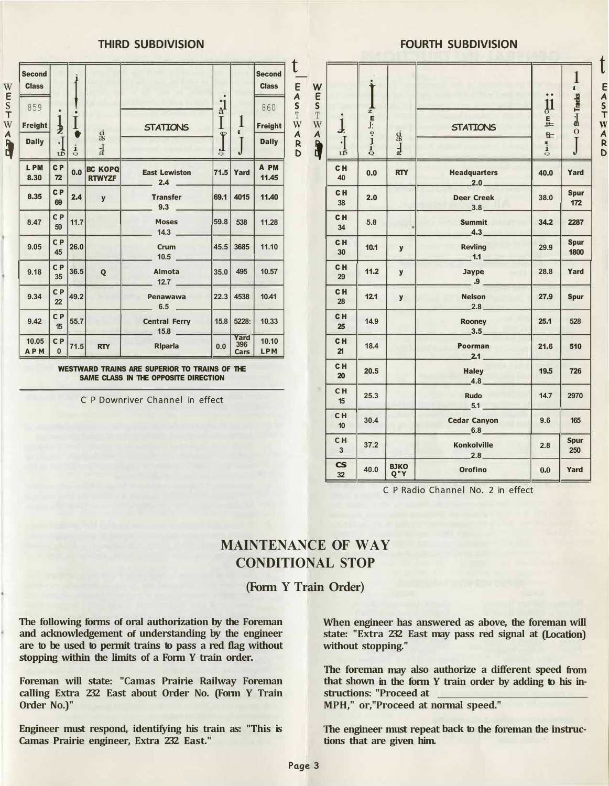#### **THIRD SUBDIVISION**

| <b>Second</b><br><b>Class</b> |                      |               |                                 |                                      |                               |                     | <b>Second</b><br><b>Class</b> |
|-------------------------------|----------------------|---------------|---------------------------------|--------------------------------------|-------------------------------|---------------------|-------------------------------|
| 859<br>Freight                | $\frac{1}{z}$        | I.            | $\frac{d}{dS}$                  | <b>STATIONS</b>                      | $\frac{1}{a}$<br>$\mathbf{P}$ | 1<br>I.             | 860<br><b>Freight</b>         |
| <b>Dally</b>                  | $\cdot$ ]            | $\frac{1}{Q}$ | $\frac{1}{a}$                   |                                      | ٦Ţ<br>$\circ$                 |                     | <b>Dally</b>                  |
| L PM<br>8.30                  | <b>CP</b><br>72      | 0.0           | <b>BC KOPQ</b><br><b>RTWYZF</b> | <b>East Lewiston</b><br>$-2.4$ –     |                               | <b>71.5 Yard</b>    | A PM<br>11.45                 |
| 8.35                          | C <sub>P</sub><br>69 | 2.4           | $\mathbf{y}$                    | <b>Transfer</b><br>$9.3$ $-$         | 69.1                          | 4015                | 11.40                         |
| 8.47                          | <b>CP</b><br>59      | 11.7          |                                 | <b>Moses</b><br>$14.3$ $\phantom{0}$ | 59.8                          | 538                 | 11.28                         |
| 9.05                          | <b>CP</b><br>45      | 26.0          |                                 | Crum<br>$10.5$ $\qquad$              |                               | 45.5 3685           | 11.10                         |
| 9.18                          | <b>CP</b><br>35      | 36.5          | Q                               | Almota<br>12.7                       | 35.0                          | 495                 | 10.57                         |
| 9.34                          | <b>CP</b><br>22      | 49.2          |                                 | Penawawa<br>$-6.5$ $-$               |                               | 22.3 4538           | 10.41                         |
| 9.42                          | <b>CP</b><br>15      | 55.7          |                                 | <b>Central Ferry</b><br>$-15.8$      | 15.8                          | 5228:               | 10.33                         |
| 10.05<br><b>APM</b>           | CP<br>$\mathbf{0}$   | 71.5          | <b>RTY</b>                      | <b>Riparia</b>                       | 0.0                           | Yard<br>396<br>Cars | 10.10<br><b>LPM</b>           |

WESTWARD TRAINS ARE SUPERIOR TO TRAINS OF THE SAME CLASS IN THE OPPOSITE DIRECTION

C P Downriver Channel in effect

#### **FOURTH SUBDIVISION**

| ι<br>E<br>A<br>S<br>T<br>W<br>$\boldsymbol{A}$<br>$\mathsf{R}$<br>D | W<br>E<br>S <sub>T</sub><br>W<br>AR | $\overline{\mathbf{1}}$<br>$\cdot$ $\left.\right]$<br>เจ้ | i<br>$\frac{1}{z}$ <b>E</b> $\int$ :<br>$\frac{1}{1}$ | $\dot{\mathbf{g}}$<br>$rac{1}{x}$ | <b>STATIONS</b>                            | $\bullet$<br>$\mathbf{\mu}$<br>트<br>$\overline{P}$<br>L<br>$\frac{1}{\mathsf{Q}}$ | $\mathbf{1}$<br><b>B-Tracks</b><br>$\overline{O}$ |
|---------------------------------------------------------------------|-------------------------------------|-----------------------------------------------------------|-------------------------------------------------------|-----------------------------------|--------------------------------------------|-----------------------------------------------------------------------------------|---------------------------------------------------|
|                                                                     |                                     | CH<br>40                                                  | 0.0                                                   | <b>RTY</b>                        | <b>Headquarters</b><br>$-2.0$              | 40.0                                                                              | Yard                                              |
|                                                                     |                                     | C <sub>H</sub><br>38                                      | 2.0                                                   |                                   | <b>Deer Creek</b><br>$-3.8$                | 38.0                                                                              | <b>Spur</b><br>172                                |
|                                                                     |                                     | CH<br>34                                                  | 5.8                                                   |                                   | <b>Summit</b><br>4.3                       | 34.2                                                                              | 2287                                              |
|                                                                     |                                     | C <sub>H</sub><br>30                                      | 10.1                                                  | $\mathbf{y}$                      | <b>Revling</b><br>$-1.1$                   | 29.9                                                                              | <b>Spur</b><br>1800                               |
|                                                                     |                                     | CH<br>29                                                  | 11.2                                                  | y                                 | <b>Jaype</b><br>$\overline{\phantom{0}}$ . | 28.8                                                                              | Yard                                              |
|                                                                     |                                     | CH<br>28                                                  | 12.1                                                  | $\mathbf{y}$                      | <b>Nelson</b><br>$-2.8-$                   | 27.9                                                                              | <b>Spur</b>                                       |
|                                                                     |                                     | CH<br>25                                                  | 14.9                                                  |                                   | <b>Rooney</b><br>3.5                       | 25.1                                                                              | 528                                               |
|                                                                     |                                     | CH<br>21                                                  | 18.4                                                  |                                   | Poorman<br>$2.1 -$                         | 21.6                                                                              | 510                                               |
|                                                                     |                                     | C <sub>H</sub><br>20                                      | 20.5                                                  |                                   | <b>Haley</b><br>$-4.8$                     | 19.5                                                                              | 726                                               |
|                                                                     | ×                                   | CH<br>15                                                  | 25.3                                                  |                                   | <b>Rudo</b><br>$-5.1$                      | 14.7                                                                              | 2970                                              |
|                                                                     |                                     | CH<br>10                                                  | 30.4                                                  |                                   | <b>Cedar Canyon</b><br>6.8                 | 9.6                                                                               | 165                                               |
|                                                                     |                                     | C <sub>H</sub><br>$\overline{3}$                          | 37.2                                                  |                                   | <b>Konkolville</b><br>2.8                  | 2.8                                                                               | <b>Spur</b><br>250                                |
|                                                                     |                                     | $\mathsf{CS}\phantom{p^2}$<br>32                          | 40.0                                                  | <b>ВЈКО</b><br>Q"Y                | <b>Orofino</b>                             | 0.0                                                                               | Yard                                              |

C P Radio Channel No. 2 in effect

# **MAINTENANCE OF WAY CONDITIONAL STOP**

**(Form Y Train Order)** 

**The following forms of oral authorization by the Foreman and acknowledgement of understanding by the engineer are to be used to permit trains to pass a red flag without stopping within the limits of a Form Y train order.** 

**Foreman will state: "Camas Prairie Railway Foreman calling Extra 232 East about Order No. (Form Y Train Order No.)"** 

**Engineer must respond, identifying his train as: "This is Camas Prairie engineer, Extra 232 East."** 

**When engineer has answered as above, the foreman will state: "Extra 232 East may pass red signal at (Location) without stopping."** 

**The foreman may also authorize a different speed from that shown in the form Y train order by adding to his instructions: "Proceed at** 

**MPH," or,"Proceed at normal speed."** 

**The engineer must repeat back to the foreman the instructions that are given him.** 

**Page 3** 

t **E A s T w A R D**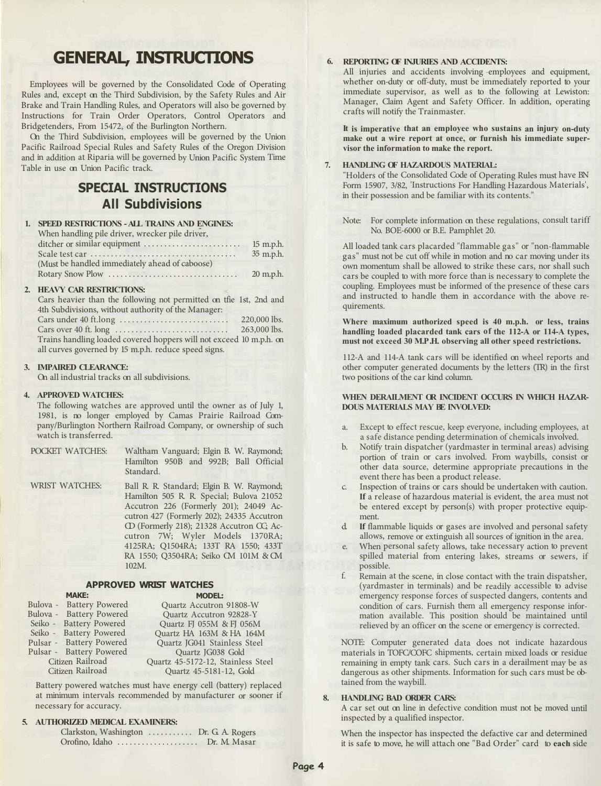# **GENERAL, INSTRUCTIONS**

Employees will be governed by the Consolidated Code of Operating Rules and, except on the Third Subdivision, by the Safety Rules and Air Brake and Train Handling Rules, and Operators will also be governed by Instructions for Train Order Operators, Control Operators and Bridgetenders, From 15472, of the Burlington Northern.

On the Third Subdivision, employees will be governed by the Union Pacific Railroad Special Rules and Safety Rules of the Oregon Division and in addition at Riparia will be governed by Union Pacific System Time Table in use on Union Pacific track.

# **SPECIAL INSTRUCTIONS All Subdivisions**

| 1. SPEED RESTRICTIONS - ALL TRAINS AND ENGINES: |           |
|-------------------------------------------------|-----------|
| When handling pile driver, wrecker pile driver, |           |
|                                                 | 15 m.p.h. |
|                                                 | 35 m.p.h. |
| (Must be handled immediately ahead of caboose)  |           |
|                                                 | 20 m.p.h. |

#### **2. HEAVY CAR RESTRICTIONS:**

| Cars heavier than the following not permitted on the 1st, 2nd and   |
|---------------------------------------------------------------------|
| 4th Subdivisions, without authority of the Manager:                 |
| 220,000 lbs.                                                        |
| 263,000 lbs.                                                        |
| Trains handling loaded covered hoppers will not exceed 10 m.p.h. on |
| all curves governed by 15 m.p.h. reduce speed signs.                |

#### **3. IMPAIRED CLEARANCE:**

On all industrial tracks on all subdivisions.

#### **4. APPROVED WATCHES:**

The following watches are approved until the owner as of July 1, 1981, is no longer employed by Camas Prairie Railroad Company/Burlington Northern Railroad Company, or ownership of such watch is transferred.

| POCKET WATCHES: | Waltham Vanguard; Elgin B. W. Raymond; |
|-----------------|----------------------------------------|
|                 | Hamilton 950B and 992B; Ball Official  |
|                 | Standard.                              |
| MEIST MATCHES.  | Rall D D Standard, Elgin D W Daymond.  |

WRIST WATCHES Ball R. R. Standard; Elgin B. W. Raymond; Hamilton 505 R. R. Special; Bulova 21052 Accutron 226 (Formerly 201); 24049 Accutron 427 (Formerly 202); 24335 Accutron CD (Formerly 218); 21328 Accutron CC; Accutron 7W; Wyler Models 1370RA; 4125RA; Q1504RA; 133T RA 1550; 433T RA 1550; Q3504RA; Seiko CM 101M & CM 102M.

#### **APPROVED WRIST WATCHES MAKE: MODEL:**

| Bulova - Battery Powered | Quartz Accutron 91808-W          |  |  |  |  |
|--------------------------|----------------------------------|--|--|--|--|
| Bulova - Battery Powered | Quartz Accutron 92828-Y          |  |  |  |  |
| Seiko - Battery Powered  | Quartz FJ 055M & FJ 056M         |  |  |  |  |
| Seiko - Battery Powered  | Quartz HA 163M & HA 164M         |  |  |  |  |
| Pulsar - Battery Powered | Quartz JG041 Stainless Steel     |  |  |  |  |
| Pulsar - Battery Powered | Quartz JG038 Gold                |  |  |  |  |
| Citizen Railroad         | Quartz 45-5172-12, Stainless Ste |  |  |  |  |
| Citizen Railroad         | Quartz 45-5181-12, Gold          |  |  |  |  |
|                          |                                  |  |  |  |  |

Battery powered watches must have energy cell (battery) replaced at minimum intervals recommended by manufacturer or sooner if necessary for accuracy.

#### **5. AUTHORIZED MEDICAL EXAMINERS:**

| Clarkston, Washington  Dr. G. A. Rogers |              |
|-----------------------------------------|--------------|
|                                         | Dr. M. Masar |

#### **6. REPORTING OF INJURIES AND ACCIDENTS:**

All injuries and accidents involving -employees and equipment, whether on-duty or off-duty, must be immediately reported to your immediate supervisor, as well as to the following at Lewiston: Manager, Claim Agent and Safety Officer. In addition, operating crafts will notify the Trainmaster.

**It is imperative that an employee who sustains an injury on-duty make out a wire report at once, or furnish his immediate supervisor the information to make the report.**

#### **7. HANDLING OF HAZARDOUS MATERIAL:**

"Holders of the Consolidated Code of Operating Rules must have BN Form 15907, 3/82, 'Instructions For Handling Hazardous Materials', in their possession and be familiar with its contents."

Note: For complete information on these regulations, consult tariff No. BOE-6000 or B.E. Pamphlet 20.

All loaded tank cars placarded "flammable gas" or "non-flammable gas" must not be cut off while in motion and no car moving under its own momentum shall be allowed to strike these cars, nor shall such cars be coupled to with more force than is necessary to complete the coupling. Employees must be informed of the presence of these cars and instructed to handle them in accordance with the above requirements.

**Where maximum authorized speed is 40 m.p.h. or less, trains handling loaded placarded tank cars of the 112-A or 114-A types, must not exceed 30 M.P .H. observing all other speed restrictions.**

112-A and 114-A tank cars will be identified on wheel reports and other computer generated documents by the letters (TR) in the first two positions of the car kind column.

#### **WHEN DERAILMENT OR INCIDENT OCCURS IN WHICH HAZAR-DOUS MATERIALS MAY BE INVOLVED:**

- a. Except to effect rescue, keep everyone, including employees, at a safe distance pending determination of chemicals involved.
- b. Notify train dispatcher (yardmaster in terminal areas) advising portion of train or cars involved. From waybills, consist or other data source, determine appropriate precautions in the event there has been a product release.
- Inspection of trains or cars should be undertaken with caution. **If** a release of hazardous material is evident, the area must not be entered except by person{s) with proper protective equipment.
- d. **If** flammable liquids or gases are involved and personal safety allows, remove or extinguish all sources of ignition in the area.
- e. When personal safety allows, take necessary action to prevent spilled material from entering lakes, streams or sewers, if possible.
- f. Remain at the scene, in close contact with the train dispatsher, (yardmaster in terminals) and be readily accessible to advise emergency response forces of suspected dangers, contents and condition of cars. Furnish them all emergency response information available. This position should be maintained until relieved by an officer on the scene or emergency is corrected.

NOTE: Computer generated data does not indicate hazardous materials in TOFC/COFC shipments, certain mixed loads or residue remaining in empty tank cars. Such cars in a derailment may be as dangerous as other shipments. Information for such cars must be obtained from the waybill.

#### **HANDLING BAD ORDER CARS:**

A car set out on line in defective condition must not be moved until inspected by a qualified inspector.

When the inspector has inspected the defactive car and determined it is safe to move, he will attach one "Bad Order" card to **each** side

Steel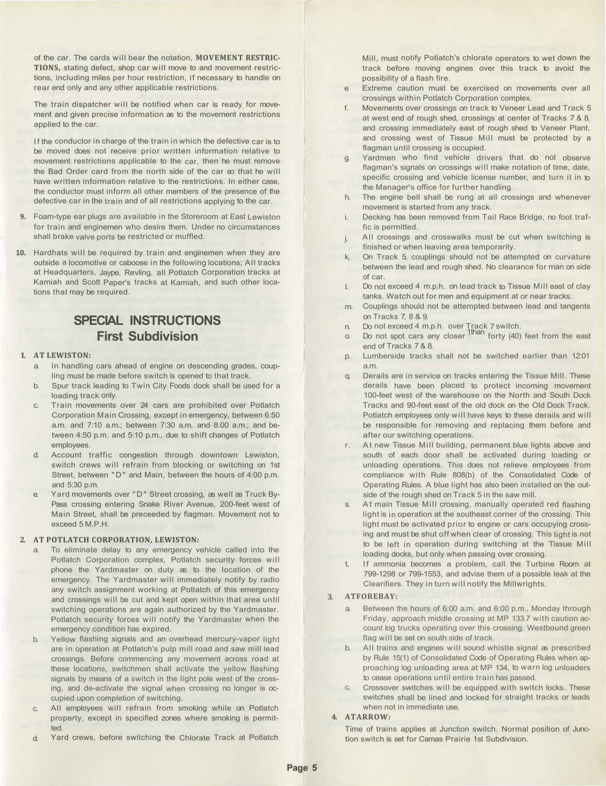of the car. The cards will bear the notation, **MOVEMENT RESTRIC-TIONS,** stating defect, shop car will move to and movement restrictions, including miles per hour restriction, if necessary to handle on rear end only and any other applicable restrictions.

The train dispatcher will be notified when car is ready for movement and given precise information as to the movement restrictions applied to the car.

If the conductor in charge of the train in which the defective car is to be moved does not receive prior written information relative to movement restrictions applicable to the car, then he must remove the Bad Order card from the north side of the car so that he will have written information relative to the restrictions. In either case, the conductor must inform all other members of the presence of the defective car in the train and of all restrictions applying to the car.

- **9.** Foam-type ear plugs are available in the Storeroom at East Lewiston for train and enginemen who desire them. Under no circumstances shall brake valve ports be restricted or muffled.
- **10.** Hardhats will be required by train and enginemen when they are outside a locomotive or caboose in the following locations; All tracks at Headquarters, Jaype, Revling, all Potlatch Corporation tracks at Kamiah and Scott Paper's tracks at Kamiah, and such other locations that may be required.

# **SPECIAL INSTRUCTIONS First Subdivision**

#### **1. AT LEWISTON:**

- a. In handling cars ahead of engine on descending grades, coupling must be made before switch is opened to that track.
- b. Spur track leading to Twin City Foods dock shall be used for a loading track only.
- c. Train movements over 24 cars are prohibited over Potlatch Corporation Main Crossing, except in emergency, between 6:50 a.m. and 7:10 a.m.; between 7:30 a.m. and 8:00 a.m.; and between 4:50 p.m. and 5:10 p.m., due to shift changes of Potlatch employees.
- d. Account traffic congestion through downtown Lewiston, switch crews will refrain from blocking or switching on 1st Street, between "D" and Main, between the hours of 4:00 p.m. and 5:30 p.m.
- e. Yard movements over "D" Street crossing, as well as Truck By-Pass crossing entering Snake River Avenue, 200-feet west of Main Street, shall be preceeded by flagman. Movement not to exceed 5 M.P.H.

#### **2. AT POTLATCH CORPORATION, LEWISTON:**

- To eliminate delay to any emergency vehicle called into the Potlatch Corporation complex, Potlatch security forces will phone the Yardmaster on duty as to the location of the emergency. The Yardmaster will immediately notify by radio any switch assignment working at Potlatch of this emergency and crossings will be cut and kept open within that area until switching operations are again authorized by the Yardmaster. Potlatch security forces will notify the Yardmaster when the emergency condition has expired.
- b. Yellow flashing signals and an overhead mercury-vapor light are in operation at Potlatch's pulp mill road and saw mill lead crossings. Before commencing any movement across road at these locations, switchmen shall activate the yellow flashing signals by means of a switch in the light pole west of the crossing, and de-activate the signal when crossing no longer is occupied upon completion of switching.
- c. All employees will refrain from smoking while on Potlatch property, except in specified zones where smoking is permitted.
- d. Yard crews, before switching the Chlorate Track at Potlatch

Mill, must notify Potlatch's chlorate operators to wet down the track before moving engines over this track to avoid the possibility of a flash fire.

- e. Extreme caution must be exercised on movements over all crossings within Potlatch Corporation complex.
- f. Movements over crossings on track to Veneer Lead and Track 5 at west end of rough shed, crossings at center of Tracks 7 & 8, and crossing immediately east of rough shed to Veneer Plant, and crossing west of Tissue Mill must be protected by a flagman until crossing is occupied.
- g. Yardmen who find vehicle drivers that do not observe flagman's signals on crossings will make notation of time, date, specific crossing and vehicle license number, and turn it in to the Manager's office for further handling.
- h. The engine bell shall be rung at all crossings and whenever movement is started from any track.
- i. Decking has been removed from Tail Race Bridge, no foot traffic is permitted.
- i. All crossings and crosswalks must be cut when switching is finished or when leaving area temporarily.
- k. On Track 5, couplings should not be attempted on curvature between the lead and rough shed. No clearance for man on side of car.
- I. Do not exceed 4 m.p.h. on lead track to Tissue Mill east of clay tanks. Watch out for men and equipment at or near tracks.
- m. Couplings should not be attempted between lead and tangents on Tracks 7, 8 & 9.
- 
- n. Do not exceed 4 m.p.h. over Track 7 switch.<br>a Do not spot cars any closer <sup>finan</sup> forty (40) feet from the east end of Tracks 7 & 8.
- p. Lumberside tracks shall not be switched earlier than 12:01 a<sub>m</sub>
- q. Derails are in service on tracks entering the Tissue Mill. These derails have been placed to protect incoming movement 100-feet west of the warehouse on the North and South Dock Tracks and 90-feet east of the old dock on the Old Dock Track. Potlatch employees only will have keys to these derails and will be responsible for removing and replacing them before and after our switching operations.
- r. At new Tissue Mill building, permanent blue lights above and south of each door shall be activated during loading or unloading operations. This does not relieve employees from compliance with Rule 808(b) of the Consolidated Code of Operating Rules. A blue light has also been installed on the outside of the rough shed on Track 5 in the saw mill.
- s. At main Tissue Mill crossing, manually operated red flashing light is in operation at the southeast corner of the crossing. This light must be activated prior to engine or cars occupying crossing and must be shut off when clear of crossing. This light is not to be left in operation during switching at the Tissue Mill loading docks, but only when passing over crossing.
- t. If ammonia becomes a problem, call the Turbine Room at 799-1298 or 799-1553, and advise them of a possible leak at the Clearifiers. They in turn will notify the Millwrights.

#### **3. ATFOREBAY:**

- a. Between the hours of 6:00 a.m. and 6:00 p.m., Monday through Friday, approach middle crossing at MP 133.7 with caution account log trucks operating over this crossing. Westbound green flag will be set on south side of track.
- b. All trains and engines will sound whistle signal as prescribed by Rule 15(1) of Consolidated Code of Operating Rules when approaching log unloading area at MP 134, to warn log unloaders to cease operations until entire train has passed.
- c. Crossover switches will be equipped with switch locks. These switches shall be lined and locked for straight tracks or leads when not in immediate use.

#### **4. ATARROW:**

Time of trains applies at Junction switch. Normal position of Junction switch is set for Camas Prairie 1st Subdivision.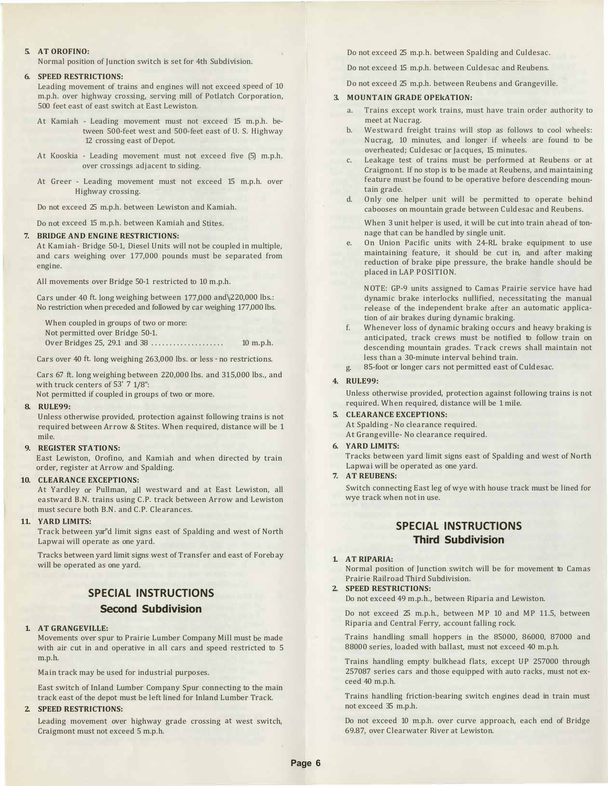#### **5. AT OROFINO:**

Normal position of Junction switch is set for 4th Subdivision.

#### **6. SPEED RESTRICTIONS:**

Leading movement of trains and engines will not exceed speed of 10 m.p.h. over highway crossing, serving mill of Potlatch Corporation, 500 feet east of east switch at East Lewiston.

- At Kamiah Leading movement must not exceed 15 m.p.h. between 500-feet west and 500-feet east of U. S. Highway 12 crossing east of Depot.
- At Kooskia Leading movement must not exceed five (5) m.p.h. over crossings adjacent to siding.
- At Greer Leading movement must not exceed 15 m.p.h. over Highway crossing.

Do not exceed 25 m.p.h. between Lewiston and Kamiah.

Do not exceed 15 m.p.h. between Kamiah and Stites.

#### **7. BRIDGE AND ENGINE RESTRICTIONS:**

At Kamiah- Bridge 50-1, Diesel Units will not be coupled in multiple, and cars weighing over 177,000 pounds must be separated from engine.

All movements over Bridge 50-1 restricted to 10 m.p.h.

Cars under 40 ft. long weighing between 177,000 and\220,000 lbs.: No restriction when preceded and followed by car weighing 177,000 lbs.

When coupled in groups of two or more: Not permitted over Bridge 50-1. Over Bridges 25, 29.1 and 38 .................... 10 m.p.h.

Cars over 40 ft. long weighing 263,000 lbs. or less - no restrictions.

Cars 67 ft. long weighing between 220,000 lbs. and 315,000 lbs., and with truck centers of 53' 7 1/8":

Not permitted if coupled in groups of two or more.

#### **8. RULE99:**

Unless otherwise provided, protection against following trains is not required between Arrow & Stites. When required, distance will be 1 mile.

#### **9. REGISTER STATIONS:**

East Lewiston, Orofino, and Kamiah and when directed by train order, register at Arrow and Spalding.

#### **10. CLEARANCE EXCEPTIONS:**

At Yardley or Pullman, all westward and at East Lewiston, all eastward B.N. trains using C.P. track between Arrow and Lewiston must secure both B.N. and C.P. Clearances.

#### **11. YARD LIMITS:**

Track between yar"d limit signs east of Spalding and west of North Lapwai will operate as one yard.

Tracks between yard limit signs west of Transfer and east of Forebay will be operated as one yard.

# **SPECIAL INSTRUCTIONS Second Subdivision**

#### **1. AT GRANGEVILLE:**

Movements over spur to Prairie Lumber Company Mill must be made with air cut in and operative in all cars and speed restricted to 5 m.p.h.

Main track may be used for industrial purposes.

East switch of Inland Lumber Company Spur connecting to the main track east of the depot must be left lined for Inland Lumber Track.

#### **2. SPEED RESTRICTIONS:**

Leading movement over highway grade crossing at west switch, Craigmont must not exceed 5 m.p.h.

Do not exceed 25 m.p.h. between Spalding and Culdesac.

Do not exceed 15 m.p.h. between Culdesac and Reubens.

Do not exceed 25 m.p.h. between Reubens and Grangeville.

#### **3. MOUNTAIN GRADE OPEkATION:**

- a. Trains except work trains, must have train order authority to meet at Nucrag.
- b. Westward freight trains will stop as follows to cool wheels: Nucrag, 10 minutes, and longer if wheels are found to be overheated; Culdesac or Jacques, 15 minutes.
- c. Leakage test of trains must be performed at Reubens or at Craigmont. If no stop is to be made at Reubens, and maintaining feature must be found to be operative before descending mountain grade.
- d. Only one helper unit will be permitted to operate behind cabooses on mountain grade between Culdesac and Reubens.

When 3 unit helper is used, it will be cut into train ahead of tonnage that can be handled by single unit.

e. On Union Pacific units with 24-RL brake equipment to use maintaining feature, it should be cut in, and after making reduction of brake pipe pressure, the brake handle should be placed in LAP POSITION.

NOTE: GP-9 units assigned to Camas Prairie service have had dynamic brake interlocks nullified, necessitating the manual release of the independent brake after an automatic application of air brakes during dynamic braking.

- f. Whenever loss of dynamic braking occurs and heavy braking is anticipated, track crews must be notified to follow train on descending mountain grades. Track crews shall maintain not less than a 30-minute interval behind train.
- g. 85-foot or longer cars not permitted east of Culdesac.

#### **4. RULE99:**

Unless otherwise provided, protection against following trains is not required. When required, distance will be 1 mile.

- **5. CLEARANCE EXCEPTIONS:** At Spalding - No clearance required. At Grangeville- No clearance required.
- **6. YARD LIMITS:**

Tracks between yard limit signs east of Spalding and west of North Lapwai will be operated as one yard.

#### **7. AT REUBENS:**

Switch connecting East leg of wye with house track must be lined for wye track when not in use.

#### **SPECIAL INSTRUCTIONS Third Subdivision**

#### **1. AT RIPARIA:**

Normal position of Junction switch will be for movement to Camas Prairie Railroad Third Subdivision.

**2. SPEED RESTRICTIONS:** Do not exceed 49 m.p.h., between Riparia and Lewiston.

Do not exceed 25 m.p.h., between MP 10 and MP 11.5, between Riparia and Central Ferry, account falling rock.

Trains handling small hoppers in the 85000, 86000, 87000 and 88000 series, loaded with ballast, must not exceed 40 m.p.h.

Trains handling empty bulkhead flats, except UP 257000 through 257087 series cars and those equipped with auto racks, must not exceed 40 m.p.h.

Trains handling friction-bearing switch engines dead in train must not exceed 35 m.p.h.

Do not exceed 10 m.p.h. over curve approach, each end of Bridge 69.87, over Clearwater River at Lewiston.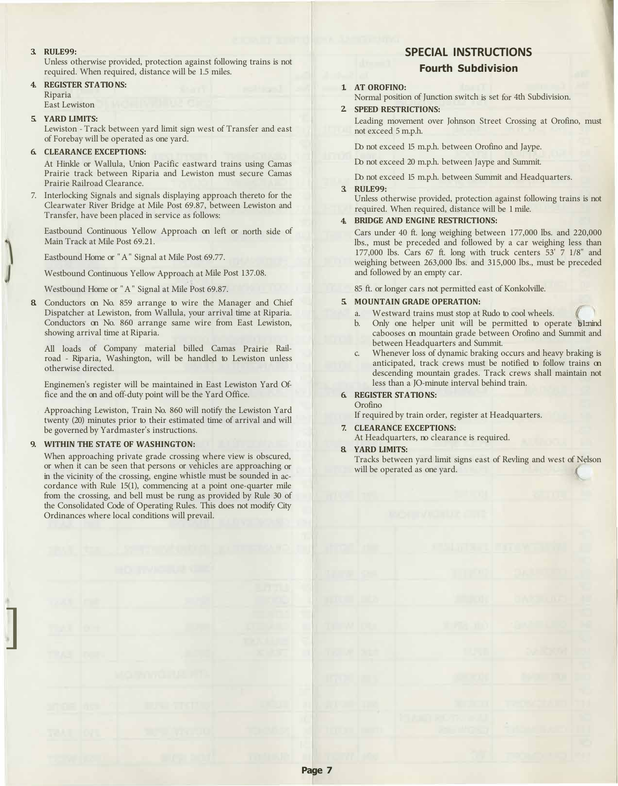#### **3. RULE99:**

Unless otherwise provided, protection against following trains is not required. When required, distance will be 1.5 miles.

**4. REGISTER STATIONS:** Riparia

East Lewiston

#### **5. YARD LIMITS:**

Lewiston - Track between yard limit sign west of Transfer and east of Forebay will be operated as one yard.

#### **6. CLEARANCE EXCEPTIONS:**

At Hinkle or Wallula, Union Pacific eastward trains using Camas Prairie track between Riparia and Lewiston must secure Camas Prairie Railroad Clearance.

7. Interlocking Signals and signals displaying approach thereto for the Clearwater River Bridge at Mile Post 69.87, between Lewiston and Transfer, have been placed in service as follows:

Eastbound Continuous Yellow Approach on left or north side of Main Track at Mile Post 69.21.

Eastbound Home or "A" Signal at Mile Post 69.77.

Westbound Continuous Yellow Approach at Mile Post 137.08.

Westbound Home or "A" Signal at Mile Post 69.87.

**8.** Conductors on No. 859 arrange to wire the Manager and Chief Dispatcher at Lewiston, from Wallula, your arrival time at Riparia. Conductors on No. 860 arrange same wire from East Lewiston, showing arrival time at Riparia.

All loads of Company material billed Camas Prairie Railroad - Riparia, Washington, will be handled to Lewiston unless otherwise directed.

Enginemen's register will be maintained in East Lewiston Yard Office and the on and off-duty point will be the Yard Office.

Approaching Lewiston, Train No. 860 will notify the Lewiston Yard twenty (20) minutes prior to their estimated time of arrival and will be governed by Yardmaster's instructions.

#### **9. WITHIN THE STATE OF WASHINGTON:**

]

When approaching private grade crossing where view is obscured, or when it can be seen that persons or vehicles are approaching or in the vicinity of the crossing, engine whistle must be sounded in accordance with Rule 15(1), commencing at a point one-quarter mile from the crossing, and bell must be rung as provided by Rule 30 of the Consolidated Code of Operating Rules. This does not modify City Ordinances where local conditions will prevail.

### **SPECIAL INSTRUCTIONS Fourth Subdivision**

#### **1. AT OROFINO:**

Normal position of Junction switch is set for 4th Subdivision.

#### **2. SPEED RESTRICTIONS:**

Leading movement over Johnson Street Crossing at Orofino, must not exceed 5 m.p.h.

Do not exceed 15 m.p.h. between Orofino and Jaype.

Do not exceed 20 m.p.h. between Jaype and Summit.

Do not exceed 15 m.p.h. between Summit and Headquarters.

#### **3. RULE99:**

Unless otherwise provided, protection against following trains is not required. When required, distance will be 1 mile.

#### **4. BRIDGE AND ENGINE RESTRICTIONS:**

Cars under 40 ft. long weighing between 177,000 lbs. and 220,000 lbs., must be preceded and followed by a car weighing less than 177,000 lbs. Cars 67 ft. long with truck centers 53' 7 1/8" and weighing between 263,000 lbs. and 315,000 lbs., must be preceded and followed by an empty car.

85 ft. or longer cars not permitted east of Konkolville.

#### **5. MOUNTAIN GRADE OPERATION:**

- a. Westward trains must stop at Rudo to cool wheels.<br>b. Only one helper unit will be permitted to operative
- b. Only one helper unit will be permitted to operate **b**1::nind cabooses on mountain grade between Orofino and Summit and between Headquarters and Summit.  $\binom{6}{5}$
- c. Whenever loss of dynamic braking occurs and heavy braking is anticipated, track crews must be notified to follow trains on descending mountain grades. Track crews shall maintain not less than a JO-minute interval behind train.

#### **6. REGISTER ST A TIO NS:**  Orofino

If required by train order, register at Headquarters.

#### **7. CLEARANCE EXCEPTIONS:**

At Headquarters, no clearance is required.

#### **8. YARD LIMITS:**

Tracks between yard limit signs east of Revling and west of Nelson ( will be operated as one yard.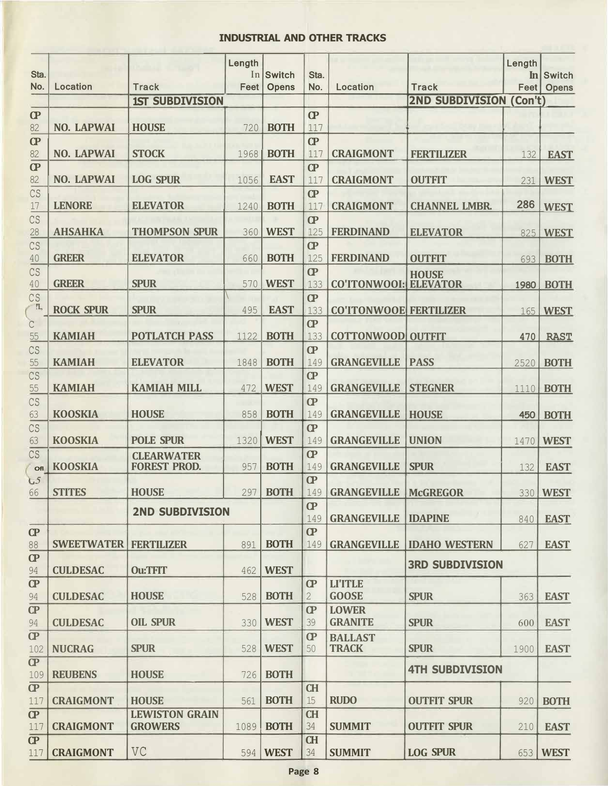#### **INDUSTRIAL AND OTHER TRACKS**

| Sta.                  |                                |                                          | Length | In Switch    | Sta.               |                                |                                | Length | In Switch        |
|-----------------------|--------------------------------|------------------------------------------|--------|--------------|--------------------|--------------------------------|--------------------------------|--------|------------------|
| No.                   | Location                       | <b>Track</b>                             | Feet   | <b>Opens</b> | No.                | <b>Location</b>                | <b>Track</b>                   |        | Feet   Opens     |
|                       |                                | <b>1ST SUBDIVISION</b>                   |        |              |                    |                                | <b>2ND SUBDIVISION (Con't)</b> |        |                  |
| $\bf{C}$              |                                |                                          |        |              | $\bf{C}$           |                                |                                |        |                  |
| 82                    | <b>NO. LAPWAI</b>              | <b>HOUSE</b>                             | 720    | <b>BOTH</b>  | 117<br>$\bf CP$    |                                |                                |        |                  |
| $\overline{C}$<br>82  | <b>NO. LAPWAI</b>              | <b>STOCK</b>                             | 1968   | <b>BOTH</b>  | 117                | <b>CRAIGMONT</b>               | <b>FERTILIZER</b>              | 132    | <b>EAST</b>      |
| $\mathbf{C}$          |                                |                                          |        |              | $\mathbf{C}$       |                                |                                |        |                  |
| 82                    | <b>NO. LAPWAI</b>              | <b>LOG SPUR</b>                          | 1056   | <b>EAST</b>  | 117                | <b>CRAIGMONT</b>               | <b>OUTFIT</b>                  | 231    | <b>WEST</b>      |
| CS                    |                                |                                          |        |              | $\bf{C}$           |                                |                                |        |                  |
| 17                    | <b>LENORE</b>                  | <b>ELEVATOR</b>                          | 1240   | <b>BOTH</b>  | 117                | <b>CRAIGMONT</b>               | <b>CHANNEL LMBR.</b>           | 286    | <b>WEST</b>      |
| CS                    |                                |                                          |        |              | $\mathbf{C}$       |                                |                                |        |                  |
| 28                    | <b>AHSAHKA</b>                 | <b>THOMPSON SPUR</b>                     | 360    | <b>WEST</b>  | 125                | <b>FERDINAND</b>               | <b>ELEVATOR</b>                |        | 825 WEST         |
| CS                    |                                |                                          |        |              | $\bf CP$           |                                |                                |        |                  |
| 40                    | <b>GREER</b>                   | <b>ELEVATOR</b>                          | 660    | <b>BOTH</b>  | 125                | <b>FERDINAND</b>               | <b>OUTFIT</b>                  |        | 693 <b>BOTH</b>  |
| CS                    |                                |                                          |        |              | $\mathbf{C}$       |                                | <b>HOUSE</b>                   |        |                  |
| $40\,$                | <b>GREER</b>                   | <b>SPUR</b>                              | 570    | <b>WEST</b>  | 133                | <b>CO'ITONWOOI: ELEVATOR</b>   |                                |        | 1980 BOTH        |
| CS<br>!'L,            | <b>ROCK SPUR</b>               | <b>SPUR</b>                              | 495    | <b>EAST</b>  | $\bf CP$<br>133    | <b>CO'ITONWOOE FERTILIZER</b>  |                                |        | 165   WEST       |
| $\overline{C}$        |                                |                                          |        |              | $\bf CP$           |                                |                                |        |                  |
| 55                    | <b>KAMIAH</b>                  | <b>POTLATCH PASS</b>                     | 1122   | <b>BOTH</b>  | 133                | <b>COTTONWOOD OUTFIT</b>       |                                | 470    | <b>RAST</b>      |
| CS                    |                                |                                          |        |              | $\overline{C}$     |                                |                                |        |                  |
| 55                    | <b>KAMIAH</b>                  | <b>ELEVATOR</b>                          | 1848   | <b>BOTH</b>  | 149                | <b>GRANGEVILLE</b>             | <b>PASS</b>                    |        | 2520 <b>BOTH</b> |
| CS                    |                                |                                          |        |              | $\overline{C}$     |                                |                                |        |                  |
| 55                    | <b>KAMIAH</b>                  | <b>KAMIAH MILL</b>                       | 472    | <b>WEST</b>  | 149                | <b>GRANGEVILLE</b>             | <b>STEGNER</b>                 |        | 1110 <b>BOTH</b> |
| CS                    |                                |                                          |        |              | $\overline{C}$     |                                |                                |        |                  |
| 63                    | <b>KOOSKIA</b>                 | <b>HOUSE</b>                             | 858    | <b>BOTH</b>  | 149                | <b>GRANGEVILLE</b>             | <b>HOUSE</b>                   | 450    | <b>BOTH</b>      |
| CS                    |                                |                                          |        |              | $\mathbf{C}$       |                                |                                |        |                  |
| 63                    | <b>KOOSKIA</b>                 | <b>POLE SPUR</b>                         | 1320   | <b>WEST</b>  | 149                | <b>GRANGEVILLE</b>             | <b>UNION</b>                   | 1470   | <b>WEST</b>      |
| CS                    | <b>KOOSKIA</b>                 | <b>CLEARWATER</b><br><b>FOREST PROD.</b> | 957    | <b>BOTH</b>  | $\bf{C}$<br>149    | <b>GRANGEVILLE</b>             | <b>SPUR</b>                    |        |                  |
| Ofl<br>$L_{5}$        |                                |                                          |        |              | $\mathbf{C}$       |                                |                                | 132    | <b>EAST</b>      |
| 66                    | <b>STITES</b>                  | <b>HOUSE</b>                             | 297    | <b>BOTH</b>  | 149                | <b>GRANGEVILLE</b>             | <b>McGREGOR</b>                |        | 330 WEST         |
|                       |                                |                                          |        |              | $\overline{C}$     |                                |                                |        |                  |
|                       |                                | <b>2ND SUBDIVISION</b>                   |        |              | 149                | <b>GRANGEVILLE   IDAPINE</b>   |                                | 840    | <b>EAST</b>      |
| $\bf CP$              |                                |                                          |        |              | $\bf{C}$           |                                |                                |        |                  |
| 88                    | <b>SWEETWATER   FERTILIZER</b> |                                          | 891    | <b>BOTH</b>  | 149                | <b>GRANGEVILLE</b>             | <b>IDAHO WESTERN</b>           | 627    | <b>EAST</b>      |
| $\mathbf{C}$          |                                |                                          |        |              |                    |                                | <b>3RD SUBDIVISION</b>         |        |                  |
| 94                    | <b>CULDESAC</b>                | <b>Ou:TFIT</b>                           | 462    | <b>WEST</b>  |                    |                                |                                |        |                  |
| $\bf CP$              |                                |                                          |        |              | $\bf{C}$           | <b>LI'ITLE</b>                 |                                |        |                  |
| 94                    | <b>CULDESAC</b>                | <b>HOUSE</b>                             | 528    | <b>BOTH</b>  | $\overline{2}$     | <b>GOOSE</b>                   | <b>SPUR</b>                    | 363    | <b>EAST</b>      |
| $\overline{CP}$<br>94 | <b>CULDESAC</b>                | <b>OIL SPUR</b>                          | 330    | <b>WEST</b>  | $\mathbf{C}$<br>39 | <b>LOWER</b><br><b>GRANITE</b> | <b>SPUR</b>                    | 600    | <b>EAST</b>      |
| $\overline{CP}$       |                                |                                          |        |              | $\bf{C}$           |                                |                                |        |                  |
| 102                   | <b>NUCRAG</b>                  | <b>SPUR</b>                              | 528    | <b>WEST</b>  | 50                 | <b>BALLAST</b><br><b>TRACK</b> | <b>SPUR</b>                    | 1900   | <b>EAST</b>      |
| $\overline{CP}$       |                                |                                          |        |              |                    |                                |                                |        |                  |
| 109                   | <b>REUBENS</b>                 | <b>HOUSE</b>                             | 726    | <b>BOTH</b>  |                    |                                | <b>4TH SUBDIVISION</b>         |        |                  |
| $\bf CP$              |                                |                                          |        |              | <b>CH</b>          |                                |                                |        |                  |
| 117                   | <b>CRAIGMONT</b>               | <b>HOUSE</b>                             | 561    | <b>BOTH</b>  | 15                 | <b>RUDO</b>                    | <b>OUTFIT SPUR</b>             | 920    | <b>BOTH</b>      |
| $\overline{CP}$       |                                | <b>LEWISTON GRAIN</b>                    |        |              | <b>CH</b>          |                                |                                |        |                  |
| 117                   | <b>CRAIGMONT</b>               | <b>GROWERS</b>                           | 1089   | <b>BOTH</b>  | 34                 | <b>SUMMIT</b>                  | <b>OUTFIT SPUR</b>             | 210    | <b>EAST</b>      |
| $\overline{CP}$       |                                |                                          |        |              | <b>CH</b>          |                                |                                |        |                  |
| 117                   | <b>CRAIGMONT</b>               | VC                                       | 594    | <b>WEST</b>  | 34                 | <b>SUMMIT</b>                  | <b>LOG SPUR</b>                |        | 653   WEST       |